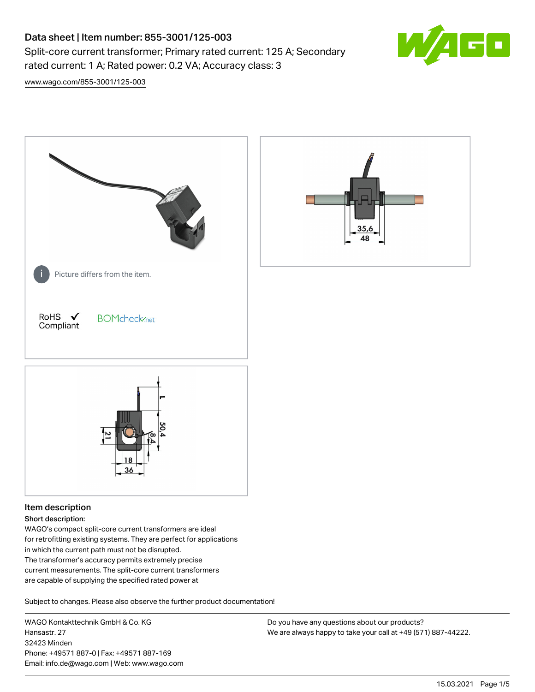# Data sheet | Item number: 855-3001/125-003

Split-core current transformer; Primary rated current: 125 A; Secondary rated current: 1 A; Rated power: 0.2 VA; Accuracy class: 3



[www.wago.com/855-3001/125-003](http://www.wago.com/855-3001/125-003)



# Item description

#### Short description:

WAGO's compact split-core current transformers are ideal for retrofitting existing systems. They are perfect for applications in which the current path must not be disrupted. The transformer's accuracy permits extremely precise current measurements. The split-core current transformers are capable of supplying the specified rated power at

Subject to changes. Please also observe the further product documentation!

WAGO Kontakttechnik GmbH & Co. KG Hansastr. 27 32423 Minden Phone: +49571 887-0 | Fax: +49571 887-169 Email: info.de@wago.com | Web: www.wago.com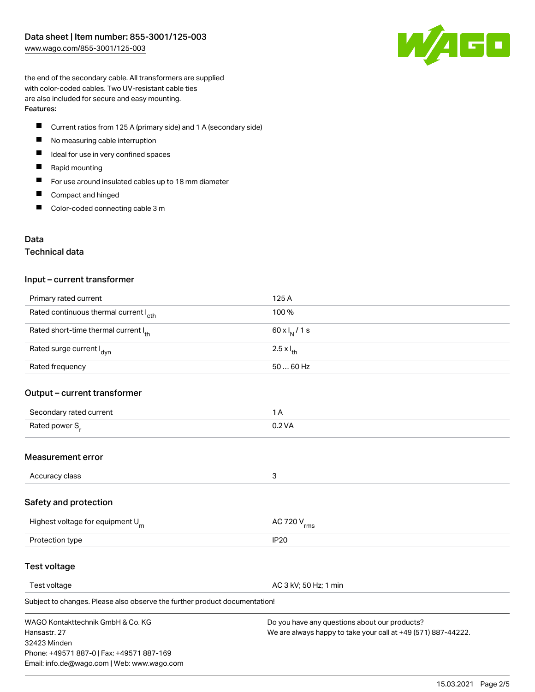

the end of the secondary cable. All transformers are supplied with color-coded cables. Two UV-resistant cable ties are also included for secure and easy mounting. Features:

- П Current ratios from 125 A (primary side) and 1 A (secondary side)
- $\qquad \qquad \blacksquare$ No measuring cable interruption
- $\blacksquare$ Ideal for use in very confined spaces
- $\blacksquare$ Rapid mounting
- $\blacksquare$ For use around insulated cables up to 18 mm diameter
- $\blacksquare$ Compact and hinged
- $\blacksquare$ Color-coded connecting cable 3 m

## Data

## Technical data

#### Input – current transformer

| Primary rated current                             | 125 A                      |
|---------------------------------------------------|----------------------------|
| Rated continuous thermal current I <sub>cth</sub> | 100 %                      |
| Rated short-time thermal current Ith              | 60 x $I_N$ / 1 s           |
| Rated surge current I <sub>dyn</sub>              | $2.5 \times I_{\text{th}}$ |
| Rated frequency                                   | $5060$ Hz                  |

## Output – current transformer

| Secondary rated current    |        |
|----------------------------|--------|
| Rated power S <sub>r</sub> | 0.2 VA |

## Measurement error

| Accuracy class |  |
|----------------|--|

## Safety and protection

| Highest voltage for equipment $U_m$ | AC 720 V <sub>rms</sub> |
|-------------------------------------|-------------------------|
| Protection type                     | IP <sub>20</sub>        |

## Test voltage

Test voltage **AC 3 kV; 50 Hz; 1 min** 

Subject to changes. Please also observe the further product documentation!

WAGO Kontakttechnik GmbH & Co. KG Hansastr. 27 32423 Minden Phone: +49571 887-0 | Fax: +49571 887-169 Email: info.de@wago.com | Web: www.wago.com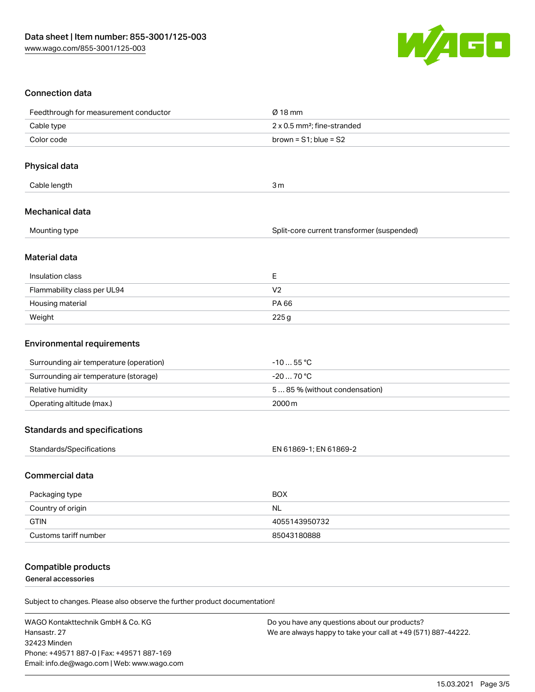

# Connection data

| Feedthrough for measurement conductor   | $Ø$ 18 mm                                  |
|-----------------------------------------|--------------------------------------------|
| Cable type                              | 2 x 0.5 mm <sup>2</sup> ; fine-stranded    |
| Color code                              | brown = $S1$ ; blue = $S2$                 |
|                                         |                                            |
| Physical data                           |                                            |
| Cable length                            | 3m                                         |
| Mechanical data                         |                                            |
| Mounting type                           | Split-core current transformer (suspended) |
| Material data                           |                                            |
| Insulation class                        | E                                          |
| Flammability class per UL94             | V <sub>2</sub>                             |
| Housing material                        | PA 66                                      |
| Weight                                  | 225g                                       |
| <b>Environmental requirements</b>       |                                            |
| Surrounding air temperature (operation) | $-1055$ °C                                 |
| Surrounding air temperature (storage)   | $-2070 °C$                                 |
| Relative humidity                       | 585% (without condensation)                |
| Operating altitude (max.)               | 2000m                                      |
| <b>Standards and specifications</b>     |                                            |
| Standards/Specifications                | EN 61869-1; EN 61869-2                     |
| <b>Commercial data</b>                  |                                            |
| Packaging type                          | <b>BOX</b>                                 |
| Country of origin                       | <b>NL</b>                                  |
| <b>GTIN</b>                             | 4055143950732                              |

## Compatible products

General accessories

Subject to changes. Please also observe the further product documentation!

Customs tariff number 85043180888

WAGO Kontakttechnik GmbH & Co. KG Hansastr. 27 32423 Minden Phone: +49571 887-0 | Fax: +49571 887-169 Email: info.de@wago.com | Web: www.wago.com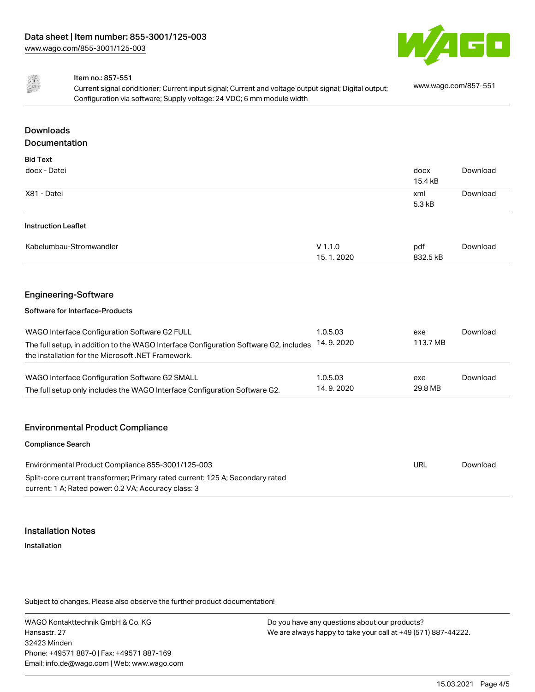



#### Item no.: 857-551

Current signal conditioner; Current input signal; Current and voltage output signal; Digital output; Configuration via software; Supply voltage: 24 VDC; 6 mm module width [www.wago.com/857-551](http://www.wago.com/857-551)

# Downloads Documentation

| <b>Bid Text</b>                                                                                                                             |                        |                 |          |
|---------------------------------------------------------------------------------------------------------------------------------------------|------------------------|-----------------|----------|
| docx - Datei                                                                                                                                |                        | docx<br>15.4 kB | Download |
| X81 - Datei                                                                                                                                 |                        | xml<br>5.3 kB   | Download |
| <b>Instruction Leaflet</b>                                                                                                                  |                        |                 |          |
| Kabelumbau-Stromwandler                                                                                                                     | $V$ 1.1.0<br>15.1.2020 | pdf<br>832.5 kB | Download |
|                                                                                                                                             |                        |                 |          |
| <b>Engineering-Software</b>                                                                                                                 |                        |                 |          |
| Software for Interface-Products                                                                                                             |                        |                 |          |
| WAGO Interface Configuration Software G2 FULL                                                                                               | 1.0.5.03               | exe             | Download |
| The full setup, in addition to the WAGO Interface Configuration Software G2, includes<br>the installation for the Microsoft .NET Framework. | 14.9.2020              | 113.7 MB        |          |
| WAGO Interface Configuration Software G2 SMALL                                                                                              | 1.0.5.03               | exe             | Download |
| The full setup only includes the WAGO Interface Configuration Software G2.                                                                  | 14.9.2020              | 29.8 MB         |          |
|                                                                                                                                             |                        |                 |          |
| <b>Environmental Product Compliance</b>                                                                                                     |                        |                 |          |
| <b>Compliance Search</b>                                                                                                                    |                        |                 |          |
|                                                                                                                                             |                        |                 |          |

| Environmental Product Compliance 855-3001/125-003                             | URL | Download |
|-------------------------------------------------------------------------------|-----|----------|
| Split-core current transformer; Primary rated current: 125 A; Secondary rated |     |          |
| current: 1 A; Rated power: 0.2 VA; Accuracy class: 3                          |     |          |

#### Installation Notes

Installation

Subject to changes. Please also observe the further product documentation!

WAGO Kontakttechnik GmbH & Co. KG Hansastr. 27 32423 Minden Phone: +49571 887-0 | Fax: +49571 887-169 Email: info.de@wago.com | Web: www.wago.com